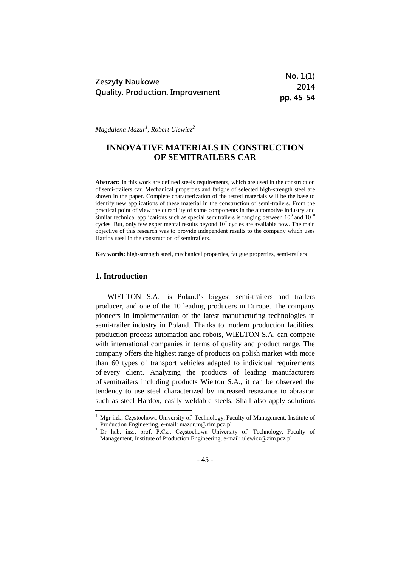| <b>Zeszyty Naukowe</b>                  | No. 1(1)  |
|-----------------------------------------|-----------|
|                                         | 2014      |
| <b>Quality. Production. Improvement</b> | pp. 45-54 |

*Magdalena Mazur<sup>1</sup> , Robert Ulewicz<sup>2</sup>*

# **INNOVATIVE MATERIALS IN CONSTRUCTION OF SEMITRAILERS CAR**

**Abstract:** In this work are defined steels requirements, which are used in the construction of semi-trailers car. Mechanical properties and fatigue of selected high-strength steel are shown in the paper. Complete characterization of the tested materials will be the base to identify new applications of these material in the construction of semi-trailers. From the practical point of view the durability of some components in the automotive industry and similar technical applications such as special semitrailers is ranging between  $10^8$  and  $10^{10}$ cycles. But, only few experimental results beyond  $10<sup>7</sup>$  cycles are available now. The main objective of this research was to provide independent results to the company which uses Hardox steel in the construction of semitrailers.

**Key words:** high-strength steel, mechanical properties, fatigue properties, semi-trailers

### **1. Introduction**

<u>.</u>

WIELTON S.A. is Poland's biggest semi-trailers and trailers producer, and one of the 10 leading producers in Europe. The company pioneers in implementation of the latest manufacturing technologies in semi-trailer industry in Poland. Thanks to modern production facilities, production process automation and robots, WIELTON S.A. can compete with international companies in terms of quality and product range. The company offers the highest range of products on polish market with more than 60 types of transport vehicles adapted to individual requirements of every client. Analyzing the products of leading manufacturers of semitrailers including products Wielton S.A., it can be observed the tendency to use steel characterized by increased resistance to abrasion such as steel Hardox, easily weldable steels. Shall also apply solutions

<sup>&</sup>lt;sup>1</sup> Mgr inż., Częstochowa University of Technology, Faculty of Management, Institute of Production Engineering, e-mail: mazur.m@zim.pcz.pl

<sup>2</sup> Dr hab. inż., prof. P.Cz., Częstochowa University of Technology, Faculty of Management, Institute of Production Engineering, e-mail: ulewicz@zim.pcz.pl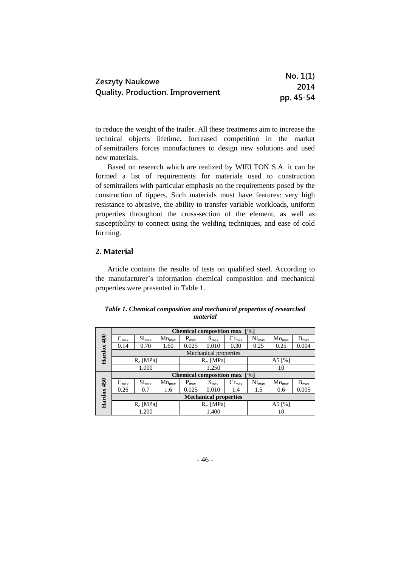|                                         | No. 1(1)  |
|-----------------------------------------|-----------|
| <b>Zeszyty Naukowe</b>                  | 2014      |
| <b>Quality. Production. Improvement</b> | pp. 45-54 |

to reduce the weight of the trailer. All these treatments aim to increase the technical objects lifetime**.** Increased competition in the market of semitrailers forces manufacturers to design new solutions and used new materials.

Based on research which are realized by WIELTON S.A. it can be formed a list of requirements for materials used to construction of semitrailers with particular emphasis on the requirements posed by the construction of tippers. Such materials must have features: very high resistance to abrasive, the ability to transfer variable workloads, uniform properties throughout the cross-section of the element, as well as susceptibility to connect using the welding techniques, and ease of cold forming.

# **2. Material**

Article contains the results of tests on qualified steel. According to the manufacturer's information chemical composition and mechanical properties were presented in Table 1.

### *Table 1. Chemical composition and mechanical properties of researched material*

|             | <b>Chemical composition max</b><br>$\lceil \frac{9}{6} \rceil$ |                   |                |             |                       |                              |                   |                              |           |
|-------------|----------------------------------------------------------------|-------------------|----------------|-------------|-----------------------|------------------------------|-------------------|------------------------------|-----------|
| $rac{1}{4}$ | $-max$                                                         | Si <sub>max</sub> | $Mn_{\rm max}$ | $P_{max}$   | $S_{\text{max}}$      | $Cr_{\text{max}}$            | Ni <sub>max</sub> | $Mo_{max}$                   | $B_{max}$ |
|             | 0.14                                                           | 0.70              | 1.60           | 0.025       | 0.010                 | 0.30                         | 0.25              | 0.25                         | 0.004     |
| Hardox      |                                                                |                   |                |             | Mechanical properties |                              |                   |                              |           |
|             | $R_e$ [MPa]                                                    |                   |                | $R_m$ [MPa] |                       | A5 $[%]$                     |                   |                              |           |
|             | 1.000                                                          |                   |                | 1.250       |                       |                              | 10                |                              |           |
|             |                                                                |                   |                |             |                       | Chemical composition max [%] |                   |                              |           |
| 450         | $C_{\rm max}$                                                  | Si <sub>max</sub> | $Mn_{max}$     | $P_{max}$   | $S_{\text{max}}$      | $Cr_{\text{max}}$            | Ni <sub>max</sub> | $\mathrm{Mo}_{\mathrm{max}}$ | $B_{max}$ |
|             | 0.26                                                           | 0.7               | 1.6            | 0.025       | 0.010                 | 1.4                          | 1.5               | 0.6                          | 0.005     |
| Hardox      | <b>Mechanical properties</b>                                   |                   |                |             |                       |                              |                   |                              |           |
|             | $R_e$ [MPa]                                                    |                   |                | $R_m$ [MPa] |                       | A5 $[%]$                     |                   |                              |           |
|             | 1.200                                                          |                   |                |             | 1.400<br>10           |                              |                   |                              |           |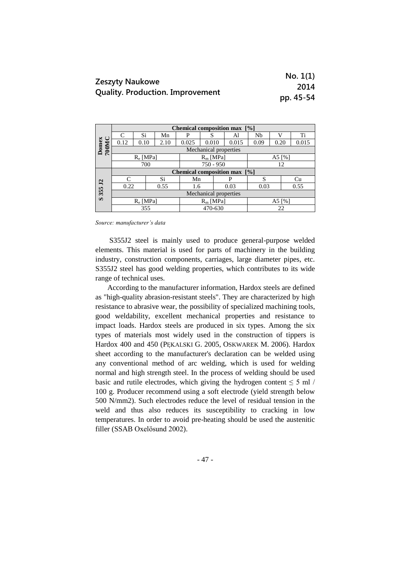| <b>Zeszyty Naukowe</b>                  | No. 1(1)  |
|-----------------------------------------|-----------|
|                                         | 2014      |
| <b>Quality. Production. Improvement</b> | pp. 45-54 |

|                       | Chemical composition max [%]                         |      |      |       |                       |       |          |      |       |  |
|-----------------------|------------------------------------------------------|------|------|-------|-----------------------|-------|----------|------|-------|--|
|                       | $\subset$                                            | Si   | Mn   | P     |                       | Al    | Nb       |      | Ti    |  |
|                       | 0.12                                                 | 0.10 | 2.10 | 0.025 | 0.010                 | 0.015 | 0.09     | 0.20 | 0.015 |  |
| Domex<br>700MC        |                                                      |      |      |       | Mechanical properties |       |          |      |       |  |
|                       | $R_e$ [MPa]<br>$R_m$ [MPa]                           |      |      |       | A5 $[%]$              |       |          |      |       |  |
|                       |                                                      | 700  |      |       | $750 - 950$           |       |          | 12   |       |  |
|                       | <b>Chemical composition max</b><br>$\lceil\% \rceil$ |      |      |       |                       |       |          |      |       |  |
|                       | $\subset$                                            |      | Si   | Mn    |                       | P     | S        |      | Cu    |  |
| 355 J <sub>2</sub>    | 0.22                                                 |      | 0.55 | 1.6   |                       | 0.03  | 0.03     |      | 0.55  |  |
|                       | Mechanical properties                                |      |      |       |                       |       |          |      |       |  |
| $\boldsymbol{\omega}$ | $R_e$ [MPa]                                          |      |      |       | $R_m$ [MPa]           |       | A5 $[%]$ |      |       |  |
|                       | 355                                                  |      |      |       | 470-630               |       | 22       |      |       |  |

*Source: manufacturer's data*

S355J2 steel is mainly used to produce general-purpose welded elements. This material is used for parts of machinery in the building industry, construction components, carriages, large diameter pipes, etc. S355J2 steel has good welding properties, which contributes to its wide range of technical uses.

According to the manufacturer information, Hardox steels are defined as "high-quality abrasion-resistant steels". They are characterized by high resistance to abrasive wear, the possibility of specialized machining tools, good weldability, excellent mechanical properties and resistance to impact loads. Hardox steels are produced in six types. Among the six types of materials most widely used in the construction of tippers is Hardox 400 and 450 (PĘKALSKI G. 2005, OSKWAREK M. 2006). Hardox sheet according to the manufacturer's declaration can be welded using any conventional method of arc welding, which is used for welding normal and high strength steel. In the process of welding should be used basic and rutile electrodes, which giving the hydrogen content  $\leq 5$  ml / 100 g. Producer recommend using a soft electrode (yield strength below 500 N/mm2). Such electrodes reduce the level of residual tension in the weld and thus also reduces its susceptibility to cracking in low temperatures. In order to avoid pre-heating should be used the austenitic filler (SSAB Oxelösund 2002).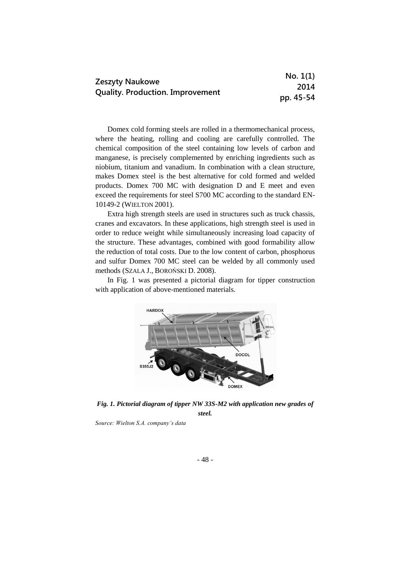| <b>Zeszyty Naukowe</b>                  | No. 1(1)  |
|-----------------------------------------|-----------|
|                                         | 2014      |
| <b>Quality. Production. Improvement</b> | pp. 45-54 |

Domex cold forming steels are rolled in a thermomechanical process, where the heating, rolling and cooling are carefully controlled. The chemical composition of the steel containing low levels of carbon and manganese, is precisely complemented by enriching ingredients such as niobium, titanium and vanadium. In combination with a clean structure, makes Domex steel is the best alternative for cold formed and welded products. Domex 700 MC with designation D and E meet and even exceed the requirements for steel S700 MC according to the standard EN-10149-2 (WIELTON 2001).

Extra high strength steels are used in structures such as truck chassis, cranes and excavators. In these applications, high strength steel is used in order to reduce weight while simultaneously increasing load capacity of the structure. These advantages, combined with good formability allow the reduction of total costs. Due to the low content of carbon, phosphorus and sulfur Domex 700 MC steel can be welded by all commonly used methods (SZALA J., BOROŃSKI D. 2008).

In Fig. 1 was presented a pictorial diagram for tipper construction with application of above-mentioned materials.



*Fig. 1. Pictorial diagram of tipper NW 33S-M2 with application new grades of steel.*

*Source: Wielton S.A. company's data*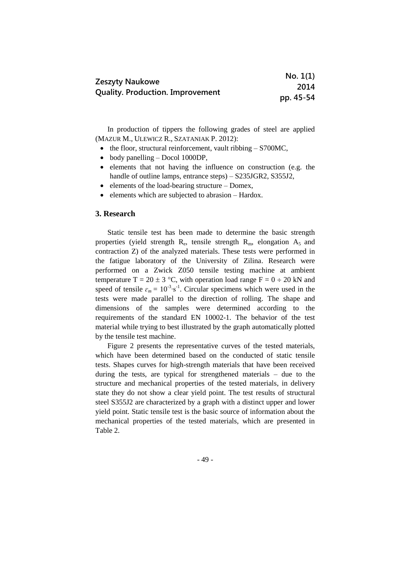|                                         | No. 1(1)  |
|-----------------------------------------|-----------|
| <b>Zeszyty Naukowe</b>                  | 2014      |
| <b>Quality. Production. Improvement</b> | pp. 45-54 |

In production of tippers the following grades of steel are applied (MAZUR M., ULEWICZ R., SZATANIAK P. 2012):

- $\bullet$  the floor, structural reinforcement, vault ribbing  $-$  S700MC,
- body panelling Docol 1000DP,
- elements that not having the influence on construction (e.g. the handle of outline lamps, entrance steps) – S235JGR2, S355J2,
- elements of the load-bearing structure Domex,
- elements which are subjected to abrasion Hardox.

#### **3. Research**

Static tensile test has been made to determine the basic strength properties (yield strength  $R_e$ , tensile strength  $R_m$ , elongation  $A_5$  and contraction Z) of the analyzed materials. These tests were performed in the fatigue laboratory of the University of Zilina. Research were performed on a Zwick Z050 tensile testing machine at ambient temperature T = 20  $\pm$  3 °C, with operation load range F = 0  $\div$  20 kN and speed of tensile  $\varepsilon_m = 10^{-3} \text{ s}^{-1}$ . Circular specimens which were used in the tests were made parallel to the direction of rolling. The shape and dimensions of the samples were determined according to the requirements of the standard EN 10002-1. The behavior of the test material while trying to best illustrated by the graph automatically plotted by the tensile test machine.

Figure 2 presents the representative curves of the tested materials, which have been determined based on the conducted of static tensile tests. Shapes curves for high-strength materials that have been received during the tests, are typical for strengthened materials – due to the structure and mechanical properties of the tested materials, in delivery state they do not show a clear yield point. The test results of structural steel S355J2 are characterized by a graph with a distinct upper and lower yield point. Static tensile test is the basic source of information about the mechanical properties of the tested materials, which are presented in Table 2.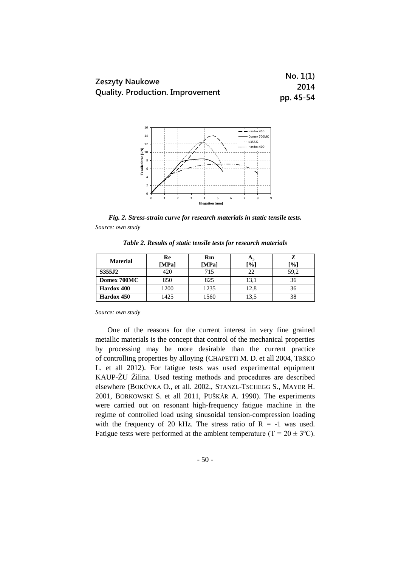|                                  | No. 1(1)  |
|----------------------------------|-----------|
| Zeszyty Naukowe                  | 2014      |
| Quality. Production. Improvement | pp. 45-54 |



*Fig. 2. Stress-strain curve for research materials in static tensile tests. Source: own study*

| <b>Material</b> | Re<br>[MPa] | Rm<br>[MPa] | Аs<br>$\mathbf{P}_{0}$ | -%]  |
|-----------------|-------------|-------------|------------------------|------|
| S355J2          | 420         | 715         |                        | 59,2 |
| Domex 700MC     | 850         | 825         | 13,1                   | 36   |
| Hardox 400      | 1200        | 1235        | 12,8                   | 36   |
| Hardox 450      | 1425        | 1560        | 13,5                   |      |

*Table 2. Results of static tensile tests for research materials*

*Source: own study*

One of the reasons for the current interest in very fine grained metallic materials is the concept that control of the mechanical properties by processing may be more desirable than the current practice of controlling properties by alloying (CHAPETTI M. D. et all 2004, TRŠKO L. et all 2012). For fatigue tests was used experimental equipment KAUP-ŽU Žilina. Used testing methods and procedures are described elsewhere (BOKŮVKA O., et all. 2002., STANZL-TSCHEGG S., MAYER H. 2001, BORKOWSKI S. et all 2011, PUŠKÁR A. 1990). The experiments were carried out on resonant high-frequency fatigue machine in the regime of controlled load using sinusoidal tension-compression loading with the frequency of 20 kHz. The stress ratio of  $R = -1$  was used. Fatigue tests were performed at the ambient temperature (T =  $20 \pm 3^{\circ}$ C).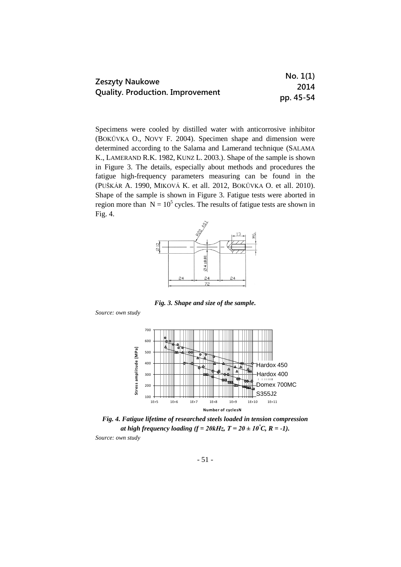| <b>Zeszyty Naukowe</b>                  | No. 1(1)  |
|-----------------------------------------|-----------|
|                                         | 2014      |
| <b>Quality. Production. Improvement</b> | pp. 45-54 |

Specimens were cooled by distilled water with anticorrosive inhibitor (BOKŮVKA O., NOVY F. 2004). Specimen shape and dimension were determined according to the Salama and Lamerand technique (SALAMA K., LAMERAND R.K. 1982, KUNZ L. 2003.). Shape of the sample is shown in Figure 3. The details, especially about methods and procedures the fatigue high-frequency parameters measuring can be found in the (PUŠKÁR A. 1990, MIKOVÁ K. et all. 2012, BOKŮVKA O. et all. 2010). Shape of the sample is shown in Figure 3. Fatigue tests were aborted in region more than  $N = 10^5$  cycles. The results of fatigue tests are shown in Fig. 4.



*Fig. 3. Shape and size of the sample.*

*Source: own study*



*Fig. 4. Fatigue lifetime of researched steels loaded in tension compression at high frequency loading*  $(f = 20kHz, T = 20 \pm 10^{\circ}C, R = -1)$ . *Source: own study*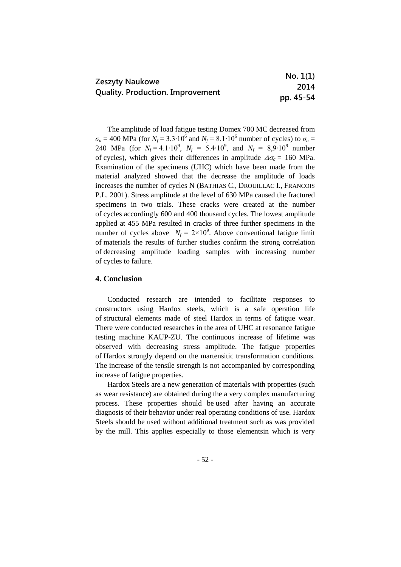|                                         | No. 1(1)  |
|-----------------------------------------|-----------|
| Zeszyty Naukowe                         | 2014      |
| <b>Quality. Production. Improvement</b> | pp. 45-54 |

The amplitude of load fatigue testing Domex 700 MC decreased from  $\sigma_a = 400$  MPa (for *N<sub>f</sub>* = 3.3⋅10<sup>6</sup> and *N<sub>f</sub>* = 8.1⋅10<sup>6</sup> number of cycles) to  $\sigma_a =$ 240 MPa (for  $N_f = 4.1 \cdot 10^9$ ,  $N_f = 5.4 \cdot 10^9$ , and  $N_f = 8.9 \cdot 10^9$  number of cycles), which gives their differences in amplitude  $\Delta \sigma_a = 160$  MPa. Examination of the specimens (UHC) which have been made from the material analyzed showed that the decrease the amplitude of loads increases the number of cycles N (BATHIAS C., DROUILLAC I., FRANCOIS P.L. 2001). Stress amplitude at the level of 630 MPa caused the fractured specimens in two trials. These cracks were created at the number of cycles accordingly 600 and 400 thousand cycles. The lowest amplitude applied at 455 MPa resulted in cracks of three further specimens in the number of cycles above  $N_f = 2 \times 10^9$ . Above conventional fatigue limit of materials the results of further studies confirm the strong correlation of decreasing amplitude loading samples with increasing number of cycles to failure.

# **4. Conclusion**

Conducted research are intended to facilitate responses to constructors using Hardox steels, which is a safe operation life of structural elements made of steel Hardox in terms of fatigue wear. There were conducted researches in the area of UHC at resonance fatigue testing machine KAUP-ZU. The continuous increase of lifetime was observed with decreasing stress amplitude. The fatigue properties of Hardox strongly depend on the martensitic transformation conditions. The increase of the tensile strength is not accompanied by corresponding increase of fatigue properties.

Hardox Steels are a new generation of materials with properties (such as wear resistance) are obtained during the a very complex manufacturing process. These properties should be used after having an accurate diagnosis of their behavior under real operating conditions of use. Hardox Steels should be used without additional treatment such as was provided by the mill. This applies especially to those elementsin which is very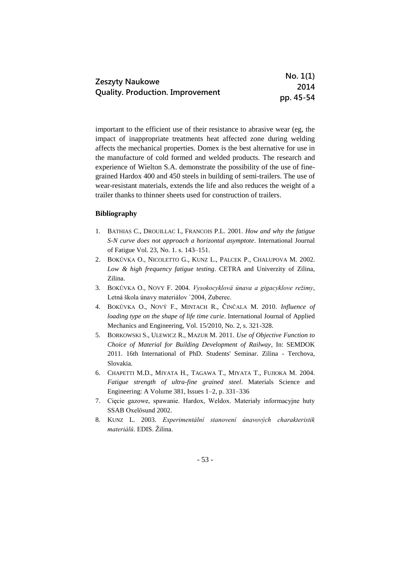|                                         | No. 1(1)  |
|-----------------------------------------|-----------|
| <b>Zeszyty Naukowe</b>                  | 2014      |
| <b>Quality. Production. Improvement</b> | pp. 45-54 |

important to the efficient use of their resistance to abrasive wear (eg, the impact of inappropriate treatments heat affected zone during welding affects the mechanical properties. Domex is the best alternative for use in the manufacture of cold formed and welded products. The research and experience of Wielton S.A. demonstrate the possibility of the use of finegrained Hardox 400 and 450 steels in building of semi-trailers. The use of wear-resistant materials, extends the life and also reduces the weight of a trailer thanks to thinner sheets used for construction of trailers.

# **Bibliography**

- 1. BATHIAS C., DROUILLAC I., FRANCOIS P.L. 2001. *How and why the fatigue S-N curve does not approach a horizontal asymptote*. International Journal of Fatigue Vol. 23, No. 1. s. 143–151.
- 2. BOKŮVKA O., NICOLETTO G., KUNZ L., PALCEK P., CHALUPOVA M. 2002. *Low & high frequency fatigue testing*. CETRA and Univerzity of Zilina, Zilina.
- 3. BOKŮVKA O., NOVY F. 2004. *Vysokocyklová únava a gigacyklove režimy*, Letná škola únavy materiálov `2004, Zuberec.
- 4. BOKŮVKA O., NOVÝ F., MINTACH R., ČINČALA M. 2010. *Influence of loading type on the shape of life time curie*. International Journal of Applied Mechanics and Engineering, Vol. 15/2010, No. 2, s. 321-328.
- 5. BORKOWSKI S., ULEWICZ R., MAZUR M. 2011. *Use of Objective Function to Choice of Material for Building Development of Railway*, In: SEMDOK 2011. 16th International of PhD. Students' Seminar. Zilina - Terchova, Slovakia.
- 6. CHAPETTI M.D., MIYATA H., TAGAWA T., MIYATA T., FUJIOKA M. 2004. *Fatigue strength of ultra-fine grained steel*. Materials Science and Engineering: A Volume 381, Issues 1–2, p. 331–336
- 7. Cięcie gazowe, spawanie. Hardox, Weldox. Materiały informacyjne huty SSAB Oxelösund 2002.
- 8. KUNZ L. 2003. *Experimentální stanovení únavových charakteristik materiálů*. EDIS. Žilina.